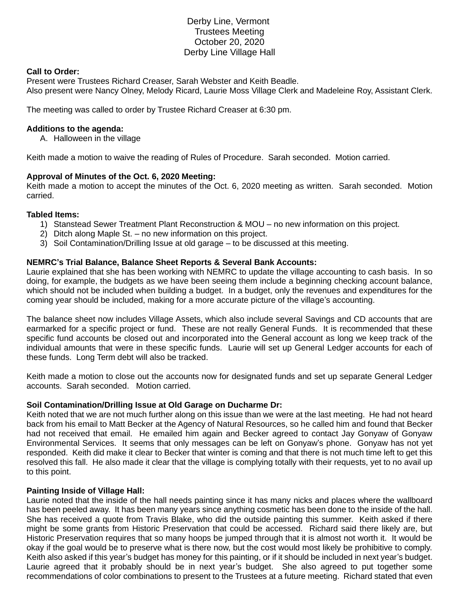# Derby Line, Vermont Trustees Meeting October 20, 2020 Derby Line Village Hall

### **Call to Order:**

Present were Trustees Richard Creaser, Sarah Webster and Keith Beadle. Also present were Nancy Olney, Melody Ricard, Laurie Moss Village Clerk and Madeleine Roy, Assistant Clerk.

The meeting was called to order by Trustee Richard Creaser at 6:30 pm.

## **Additions to the agenda:**

A. Halloween in the village

Keith made a motion to waive the reading of Rules of Procedure. Sarah seconded. Motion carried.

## **Approval of Minutes of the Oct. 6, 2020 Meeting:**

Keith made a motion to accept the minutes of the Oct. 6, 2020 meeting as written. Sarah seconded. Motion carried.

#### **Tabled Items:**

- 1) Stanstead Sewer Treatment Plant Reconstruction & MOU no new information on this project.
- 2) Ditch along Maple St. no new information on this project.
- 3) Soil Contamination/Drilling Issue at old garage to be discussed at this meeting.

## **NEMRC's Trial Balance, Balance Sheet Reports & Several Bank Accounts:**

Laurie explained that she has been working with NEMRC to update the village accounting to cash basis. In so doing, for example, the budgets as we have been seeing them include a beginning checking account balance, which should not be included when building a budget. In a budget, only the revenues and expenditures for the coming year should be included, making for a more accurate picture of the village's accounting.

The balance sheet now includes Village Assets, which also include several Savings and CD accounts that are earmarked for a specific project or fund. These are not really General Funds. It is recommended that these specific fund accounts be closed out and incorporated into the General account as long we keep track of the individual amounts that were in these specific funds. Laurie will set up General Ledger accounts for each of these funds. Long Term debt will also be tracked.

Keith made a motion to close out the accounts now for designated funds and set up separate General Ledger accounts. Sarah seconded. Motion carried.

#### **Soil Contamination/Drilling Issue at Old Garage on Ducharme Dr:**

Keith noted that we are not much further along on this issue than we were at the last meeting. He had not heard back from his email to Matt Becker at the Agency of Natural Resources, so he called him and found that Becker had not received that email. He emailed him again and Becker agreed to contact Jay Gonyaw of Gonyaw Environmental Services. It seems that only messages can be left on Gonyaw's phone. Gonyaw has not yet responded. Keith did make it clear to Becker that winter is coming and that there is not much time left to get this resolved this fall. He also made it clear that the village is complying totally with their requests, yet to no avail up to this point.

#### **Painting Inside of Village Hall:**

Laurie noted that the inside of the hall needs painting since it has many nicks and places where the wallboard has been peeled away. It has been many years since anything cosmetic has been done to the inside of the hall. She has received a quote from Travis Blake, who did the outside painting this summer. Keith asked if there might be some grants from Historic Preservation that could be accessed. Richard said there likely are, but Historic Preservation requires that so many hoops be jumped through that it is almost not worth it. It would be okay if the goal would be to preserve what is there now, but the cost would most likely be prohibitive to comply. Keith also asked if this year's budget has money for this painting, or if it should be included in next year's budget. Laurie agreed that it probably should be in next year's budget. She also agreed to put together some recommendations of color combinations to present to the Trustees at a future meeting. Richard stated that even